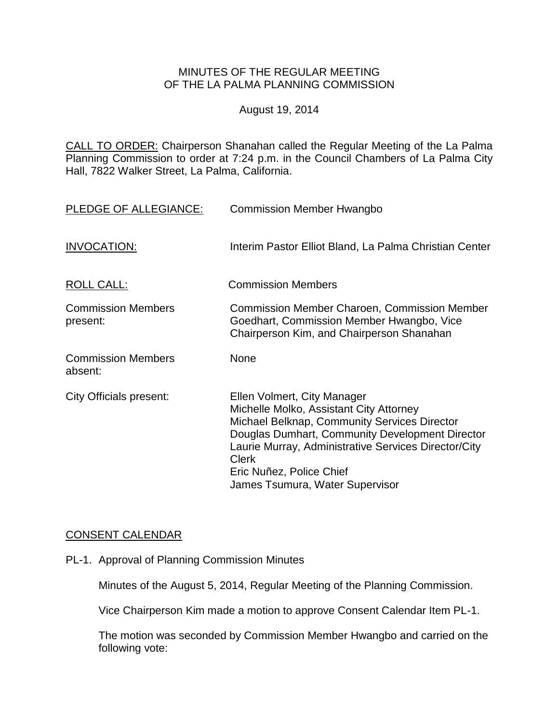## MINUTES OF THE REGULAR MEETING OF THE LA PALMA PLANNING COMMISSION

August 19, 2014

CALL TO ORDER: Chairperson [Shanahan called the Regular Meeting of the La Palma](http://lapalma.granicus.com/MediaPlayer.php?view_id=&clip_id=848&meta_id=112348)  Planning Commission to order at 7:24 [p.m. in the Council Chambers of La Palma City](http://lapalma.granicus.com/MediaPlayer.php?view_id=&clip_id=848&meta_id=112348)  [Hall, 7822 Walker Street, La Palma, California.](http://lapalma.granicus.com/MediaPlayer.php?view_id=&clip_id=848&meta_id=112348)

| PLEDGE OF ALLEGIANCE:                 | <b>Commission Member Hwangbo</b>                                                                                                                                                                                                                                                                                 |
|---------------------------------------|------------------------------------------------------------------------------------------------------------------------------------------------------------------------------------------------------------------------------------------------------------------------------------------------------------------|
| <b>INVOCATION:</b>                    | Interim Pastor Elliot Bland, La Palma Christian Center                                                                                                                                                                                                                                                           |
| <b>ROLL CALL:</b>                     | <b>Commission Members</b>                                                                                                                                                                                                                                                                                        |
| <b>Commission Members</b><br>present: | <b>Commission Member Charoen, Commission Member</b><br>Goedhart, Commission Member Hwangbo, Vice<br>Chairperson Kim, and Chairperson Shanahan                                                                                                                                                                    |
| <b>Commission Members</b><br>absent:  | <b>None</b>                                                                                                                                                                                                                                                                                                      |
| <b>City Officials present:</b>        | Ellen Volmert, City Manager<br>Michelle Molko, Assistant City Attorney<br>Michael Belknap, Community Services Director<br>Douglas Dumhart, Community Development Director<br>Laurie Murray, Administrative Services Director/City<br><b>Clerk</b><br>Eric Nuñez, Police Chief<br>James Tsumura, Water Supervisor |

## [CONSENT CALENDAR](http://lapalma.granicus.com/MediaPlayer.php?view_id=&clip_id=848&meta_id=112372)

PL-1. Approval of Planning Commission Minutes

Minutes of the August 5, 2014, Regular Meeting of the Planning Commission.

Vice Chairperson Kim made a motion to approve Consent Calendar Item PL-1.

The motion was seconded by Commission Member Hwangbo and carried on the following vote: